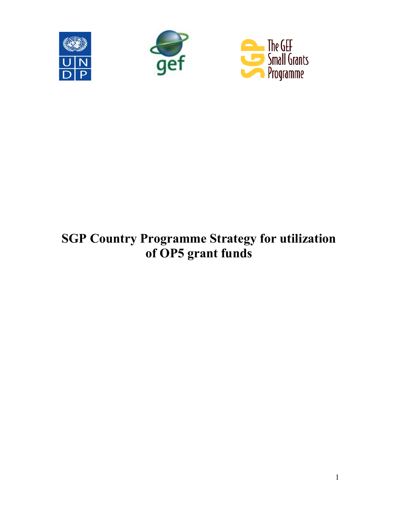





# **SGP Country Programme Strategy for utilization of OP5 grant funds**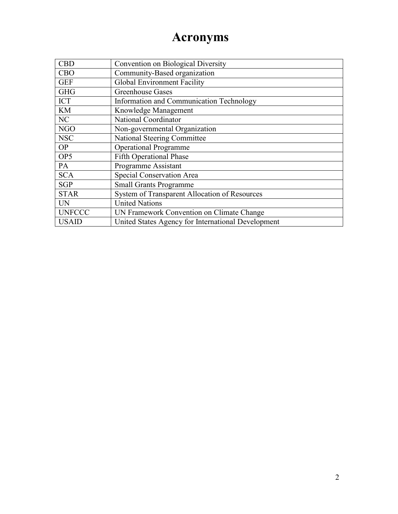## **Acronyms**

| <b>CBD</b>      | Convention on Biological Diversity                 |
|-----------------|----------------------------------------------------|
| <b>CBO</b>      | Community-Based organization                       |
| <b>GEF</b>      | Global Environment Facility                        |
| <b>GHG</b>      | <b>Greenhouse Gases</b>                            |
| <b>ICT</b>      | Information and Communication Technology           |
| <b>KM</b>       | Knowledge Management                               |
| NC              | National Coordinator                               |
| <b>NGO</b>      | Non-governmental Organization                      |
| <b>NSC</b>      | <b>National Steering Committee</b>                 |
| <b>OP</b>       | <b>Operational Programme</b>                       |
| OP <sub>5</sub> | <b>Fifth Operational Phase</b>                     |
| PA              | Programme Assistant                                |
| <b>SCA</b>      | Special Conservation Area                          |
| <b>SGP</b>      | <b>Small Grants Programme</b>                      |
| <b>STAR</b>     | System of Transparent Allocation of Resources      |
| <b>UN</b>       | <b>United Nations</b>                              |
| <b>UNFCCC</b>   | UN Framework Convention on Climate Change          |
| <b>USAID</b>    | United States Agency for International Development |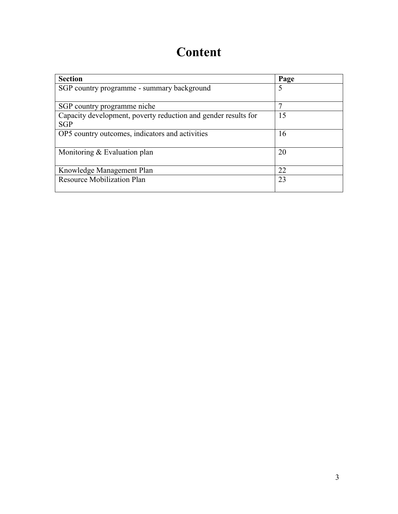## **Content**

| <b>Section</b>                                                 | Page |
|----------------------------------------------------------------|------|
| SGP country programme - summary background                     | 5    |
|                                                                |      |
| SGP country programme niche                                    | 7    |
| Capacity development, poverty reduction and gender results for | 15   |
| <b>SGP</b>                                                     |      |
| OP5 country outcomes, indicators and activities                | 16   |
| Monitoring $&$ Evaluation plan                                 | 20   |
| Knowledge Management Plan                                      | 22   |
| <b>Resource Mobilization Plan</b>                              | 23   |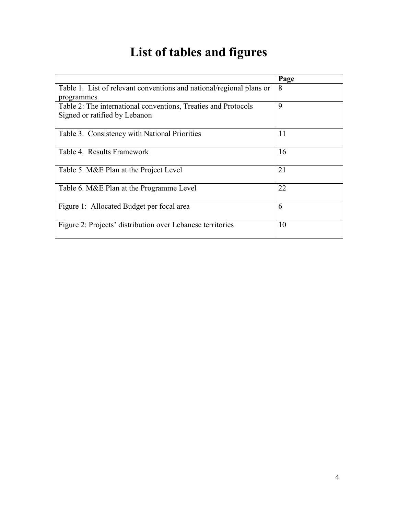# **List of tables and figures**

|                                                                      | Page |
|----------------------------------------------------------------------|------|
| Table 1. List of relevant conventions and national/regional plans or | 8    |
| programmes                                                           |      |
| Table 2: The international conventions, Treaties and Protocols       | 9    |
| Signed or ratified by Lebanon                                        |      |
|                                                                      | 11   |
| Table 3. Consistency with National Priorities                        |      |
| Table 4. Results Framework                                           | 16   |
|                                                                      |      |
| Table 5. M&E Plan at the Project Level                               | 21   |
| Table 6. M&E Plan at the Programme Level                             | 22   |
|                                                                      |      |
| Figure 1: Allocated Budget per focal area                            | 6    |
| Figure 2: Projects' distribution over Lebanese territories           | 10   |
|                                                                      |      |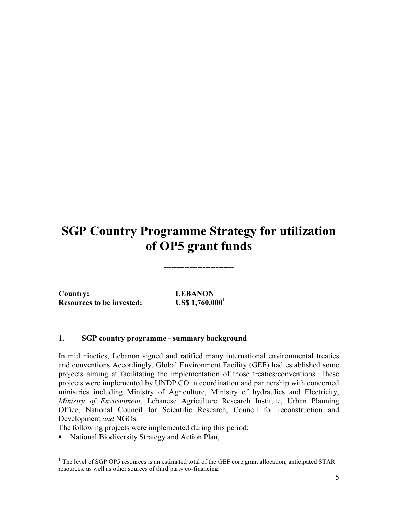## **SGP Country Programme Strategy for utilization of OP5 grant funds**

**---------------------------**

**Country: LEBANON Resources to be invested: US\$ 1,760,000<sup>1</sup>**

 $\overline{a}$ 

#### **1. SGP country programme - summary background**

In mid nineties, Lebanon signed and ratified many international environmental treaties and conventions Accordingly, Global Environment Facility (GEF) had established some projects aiming at facilitating the implementation of those treaties/conventions. These projects were implemented by UNDP CO in coordination and partnership with concerned ministries including Ministry of Agriculture, Ministry of hydraulics and Electricity, *Ministry of Environment*, Lebanese Agriculture Research Institute, Urban Planning Office, National Council for Scientific Research, Council for reconstruction and Development *and* NGOs.

The following projects were implemented during this period:

■ National Biodiversity Strategy and Action Plan,

 $<sup>1</sup>$  The level of SGP OP5 resources is an estimated total of the GEF core grant allocation, anticipated STAR</sup> resources, as well as other sources of third party co-financing.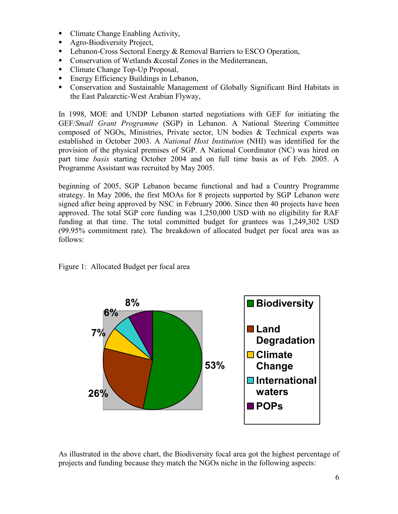- Climate Change Enabling Activity,
- Agro-Biodiversity Project,
- **-** Lebanon-Cross Sectoral Energy & Removal Barriers to ESCO Operation,
- **Conservation of Wetlands &costal Zones in the Mediterranean,**
- Climate Change Top-Up Proposal,
- **Energy Efficiency Buildings in Lebanon,**
- Conservation and Sustainable Management of Globally Significant Bird Habitats in the East Palearctic-West Arabian Flyway,

In 1998, MOE and UNDP Lebanon started negotiations with GEF for initiating the GEF/*Small Grant Programme* (SGP) in Lebanon. A National Steering Committee composed of NGOs, Ministries, Private sector, UN bodies & Technical experts was established in October 2003. A *National Host Institution* (NHI) was identified for the provision of the physical premises of SGP. A National Coordinator (NC) was hired on part time *basis* starting October 2004 and on full time basis as of Feb. 2005. A Programme Assistant was recruited by May 2005.

beginning of 2005, SGP Lebanon became functional and had a Country Programme strategy. In May 2006, the first MOAs for 8 projects supported by SGP Lebanon were signed after being approved by NSC in February 2006. Since then 40 projects have been approved. The total SGP core funding was 1,250,000 USD with no eligibility for RAF funding at that time. The total committed budget for grantees was 1,249,302 USD (99.95% commitment rate). The breakdown of allocated budget per focal area was as follows:



Figure 1: Allocated Budget per focal area

As illustrated in the above chart, the Biodiversity focal area got the highest percentage of projects and funding because they match the NGOs niche in the following aspects: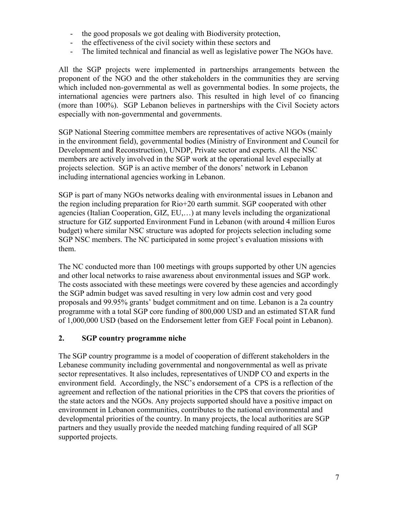- the good proposals we got dealing with Biodiversity protection,
- the effectiveness of the civil society within these sectors and
- The limited technical and financial as well as legislative power The NGOs have.

All the SGP projects were implemented in partnerships arrangements between the proponent of the NGO and the other stakeholders in the communities they are serving which included non-governmental as well as governmental bodies. In some projects, the international agencies were partners also. This resulted in high level of co financing (more than 100%). SGP Lebanon believes in partnerships with the Civil Society actors especially with non-governmental and governments.

SGP National Steering committee members are representatives of active NGOs (mainly in the environment field), governmental bodies (Ministry of Environment and Council for Development and Reconstruction), UNDP, Private sector and experts. All the NSC members are actively involved in the SGP work at the operational level especially at projects selection. SGP is an active member of the donors' network in Lebanon including international agencies working in Lebanon.

SGP is part of many NGOs networks dealing with environmental issues in Lebanon and the region including preparation for Rio+20 earth summit. SGP cooperated with other agencies (Italian Cooperation, GIZ, EU,…) at many levels including the organizational structure for GIZ supported Environment Fund in Lebanon (with around 4 million Euros budget) where similar NSC structure was adopted for projects selection including some SGP NSC members. The NC participated in some project's evaluation missions with them.

The NC conducted more than 100 meetings with groups supported by other UN agencies and other local networks to raise awareness about environmental issues and SGP work. The costs associated with these meetings were covered by these agencies and accordingly the SGP admin budget was saved resulting in very low admin cost and very good proposals and 99.95% grants' budget commitment and on time. Lebanon is a 2a country programme with a total SGP core funding of 800,000 USD and an estimated STAR fund of 1,000,000 USD (based on the Endorsement letter from GEF Focal point in Lebanon).

### **2. SGP country programme niche**

The SGP country programme is a model of cooperation of different stakeholders in the Lebanese community including governmental and nongovernmental as well as private sector representatives. It also includes, representatives of UNDP CO and experts in the environment field. Accordingly, the NSC's endorsement of a CPS is a reflection of the agreement and reflection of the national priorities in the CPS that covers the priorities of the state actors and the NGOs. Any projects supported should have a positive impact on environment in Lebanon communities, contributes to the national environmental and developmental priorities of the country. In many projects, the local authorities are SGP partners and they usually provide the needed matching funding required of all SGP supported projects.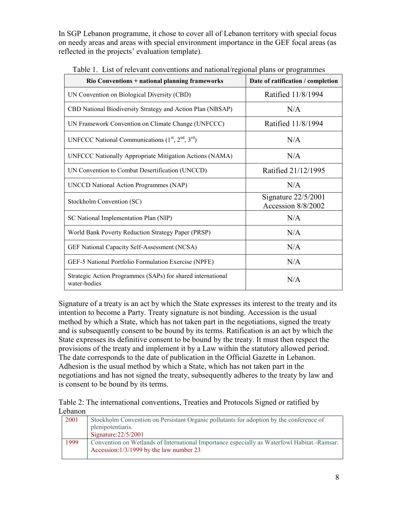In SGP Lebanon programme, it chose to cover all of Lebanon territory with special focus on needy areas and areas with special environment importance in the GEF focal areas (as reflected in the projects' evaluation template).

| <b>Rio Conventions + national planning frameworks</b>                       | Date of ratification / completion           |  |
|-----------------------------------------------------------------------------|---------------------------------------------|--|
| UN Convention on Biological Diversity (CBD)                                 | Ratified 11/8/1994                          |  |
| CBD National Biodiversity Strategy and Action Plan (NBSAP)                  | N/A                                         |  |
| UN Framework Convention on Climate Change (UNFCCC)                          | Ratified 11/8/1994                          |  |
| UNFCCC National Communications $(1st, 2nd, 3rd)$                            | N/A                                         |  |
| <b>UNFCCC Nationally Appropriate Mitigation Actions (NAMA)</b>              | N/A                                         |  |
| UN Convention to Combat Desertification (UNCCD)                             | Ratified 21/12/1995                         |  |
| <b>UNCCD National Action Programmes (NAP)</b>                               | N/A                                         |  |
| Stockholm Convention (SC)                                                   | Signature $22/5/2001$<br>Accession 8/8/2002 |  |
| SC National Implementation Plan (NIP)                                       | N/A                                         |  |
| World Bank Poverty Reduction Strategy Paper (PRSP)                          | N/A                                         |  |
| GEF National Capacity Self-Assessment (NCSA)                                | N/A                                         |  |
| GEF-5 National Portfolio Formulation Exercise (NPFE)                        | N/A                                         |  |
| Strategic Action Programmes (SAPs) for shared international<br>water-bodies | N/A                                         |  |

Table 1. List of relevant conventions and national/regional plans or programmes

Signature of a treaty is an act by which the State expresses its interest to the treaty and its intention to become a Party. Treaty signature is not binding. Accession is the usual method by which a State, which has not taken part in the negotiations, signed the treaty and is subsequently consent to be bound by its terms. Ratification is an act by which the State expresses its definitive consent to be bound by the treaty. It must then respect the provisions of the treaty and implement it by a Law within the statutory allowed period. The date corresponds to the date of publication in the Official Gazette in Lebanon. Adhesion is the usual method by which a State, which has not taken part in the negotiations and has not signed the treaty, subsequently adheres to the treaty by law and is consent to be bound by its terms.

Table 2: The international conventions, Treaties and Protocols Signed or ratified by Lebanon

| 2001 | Stockholm Convention on Persistant Organic pollutants for adoption by the conference of                                                 |
|------|-----------------------------------------------------------------------------------------------------------------------------------------|
|      | plenipotentiaris.                                                                                                                       |
|      | Signature: $22/5/2001$                                                                                                                  |
| 1999 | Convention on Wetlands of International Importance especially as Waterfowl Habitat.-Ramsar.<br>Accession: 1/3/1999 by the law number 23 |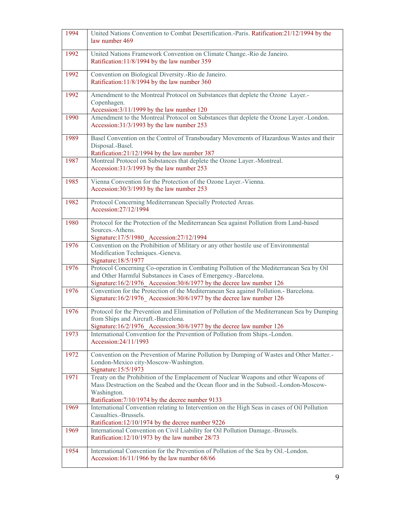| 1994 | United Nations Convention to Combat Desertification.-Paris. Ratification:21/12/1994 by the<br>law number 469                                                                                                                                      |
|------|---------------------------------------------------------------------------------------------------------------------------------------------------------------------------------------------------------------------------------------------------|
| 1992 | United Nations Framework Convention on Climate Change.-Rio de Janeiro.<br>Ratification: 11/8/1994 by the law number 359                                                                                                                           |
| 1992 | Convention on Biological Diversity.-Rio de Janeiro.<br>Ratification:11/8/1994 by the law number 360                                                                                                                                               |
| 1992 | Amendment to the Montreal Protocol on Substances that deplete the Ozone Layer.-<br>Copenhagen.<br>Accession: 3/11/1999 by the law number 120                                                                                                      |
| 1990 | Amendment to the Montreal Protocol on Substances that deplete the Ozone Layer.-London.<br>Accession:31/3/1993 by the law number 253                                                                                                               |
| 1989 | Basel Convention on the Control of Transboudary Movements of Hazardous Wastes and their<br>Disposal.-Basel.<br>Ratification:21/12/1994 by the law number 387                                                                                      |
| 1987 | Montreal Protocol on Substances that deplete the Ozone Layer.-Montreal.<br>Accession:31/3/1993 by the law number 253                                                                                                                              |
| 1985 | Vienna Convention for the Protection of the Ozone Layer.-Vienna.<br>Accession: 30/3/1993 by the law number 253                                                                                                                                    |
| 1982 | Protocol Concerning Mediterranean Specially Protected Areas.<br>Accession: 27/12/1994                                                                                                                                                             |
| 1980 | Protocol for the Protection of the Mediterranean Sea against Pollution from Land-based<br>Sources.-Athens.<br>Signature: 17/5/1980_Accession: 27/12/1994                                                                                          |
| 1976 | Convention on the Prohibition of Military or any other hostile use of Environmental<br>Modification Techniques.-Geneva.<br>Signature: 18/5/1977                                                                                                   |
| 1976 | Protocol Concerning Co-operation in Combating Pollution of the Mediterranean Sea by Oil<br>and Other Harmful Substances in Cases of Emergency.-Barcelona.<br>Signature:16/2/1976_Accession:30/6/1977 by the decree law number 126                 |
| 1976 | Convention for the Protection of the Mediterranean Sea against Pollution.- Barcelona.<br>Signature:16/2/1976 Accession:30/6/1977 by the decree law number 126                                                                                     |
| 1976 | Protocol for the Prevention and Elimination of Pollution of the Mediterranean Sea by Dumping<br>from Ships and Aircraft.-Barcelona.<br>Signature:16/2/1976_Accession:30/6/1977 by the decree law number 126                                       |
| 1973 | International Convention for the Prevention of Pollution from Ships.-London.<br>Accession: 24/11/1993                                                                                                                                             |
| 1972 | Convention on the Prevention of Marine Pollution by Dumping of Wastes and Other Matter.<br>London-Mexico city-Moscow-Washington.<br>Signature: 15/5/1973                                                                                          |
| 1971 | Treaty on the Prohibition of the Emplacement of Nuclear Weapons and other Weapons of<br>Mass Destruction on the Seabed and the Ocean floor and in the Subsoil.-London-Moscow-<br>Washington.<br>Ratification: 7/10/1974 by the decree number 9133 |
| 1969 | International Convention relating to Intervention on the High Seas in cases of Oil Pollution<br>Casualties.-Brussels.<br>Ratification: 12/10/1974 by the decree number 9226                                                                       |
| 1969 | International Convention on Civil Liability for Oil Pollution Damage.-Brussels.<br>Ratification: 12/10/1973 by the law number 28/73                                                                                                               |
| 1954 | International Convention for the Prevention of Pollution of the Sea by Oil.-London.<br>Accession:16/11/1966 by the law number 68/66                                                                                                               |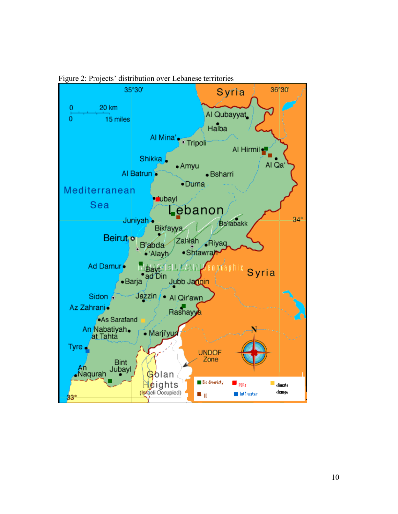

Figure 2: Projects' distribution over Lebanese territories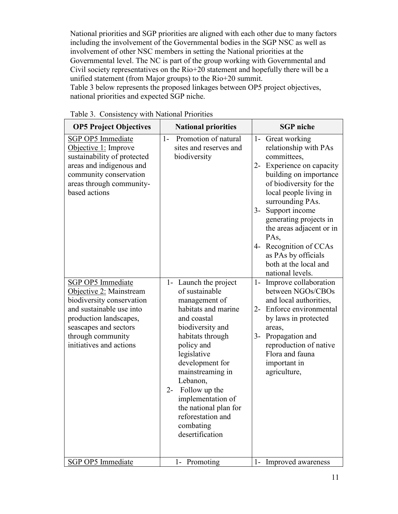National priorities and SGP priorities are aligned with each other due to many factors including the involvement of the Governmental bodies in the SGP NSC as well as involvement of other NSC members in setting the National priorities at the Governmental level. The NC is part of the group working with Governmental and Civil society representatives on the Rio+20 statement and hopefully there will be a unified statement (from Major groups) to the Rio+20 summit. Table 3 below represents the proposed linkages between OP5 project objectives, national priorities and expected SGP niche.

| <b>OP5 Project Objectives</b>                                                                                                                                                                                   | <b>National priorities</b>                                                                                                                                                                                                                                                                                                                          | <b>SGP</b> niche                                                                                                                                                                                                                                                                                                                                                         |
|-----------------------------------------------------------------------------------------------------------------------------------------------------------------------------------------------------------------|-----------------------------------------------------------------------------------------------------------------------------------------------------------------------------------------------------------------------------------------------------------------------------------------------------------------------------------------------------|--------------------------------------------------------------------------------------------------------------------------------------------------------------------------------------------------------------------------------------------------------------------------------------------------------------------------------------------------------------------------|
| <b>SGP OP5</b> Immediate<br>Objective 1: Improve<br>sustainability of protected<br>areas and indigenous and<br>community conservation<br>areas through community-<br>based actions                              | Promotion of natural<br>$1-$<br>sites and reserves and<br>biodiversity                                                                                                                                                                                                                                                                              | 1- Great working<br>relationship with PAs<br>committees,<br>2- Experience on capacity<br>building on importance<br>of biodiversity for the<br>local people living in<br>surrounding PAs.<br>Support income<br>$3-$<br>generating projects in<br>the areas adjacent or in<br>PA <sub>s</sub><br>Recognition of CCAs<br>4-<br>as PAs by officials<br>both at the local and |
| <b>SGP OP5 Immediate</b><br>Objective 2: Mainstream<br>biodiversity conservation<br>and sustainable use into<br>production landscapes,<br>seascapes and sectors<br>through community<br>initiatives and actions | 1- Launch the project<br>of sustainable<br>management of<br>habitats and marine<br>and coastal<br>biodiversity and<br>habitats through<br>policy and<br>legislative<br>development for<br>mainstreaming in<br>Lebanon,<br>Follow up the<br>$2 -$<br>implementation of<br>the national plan for<br>reforestation and<br>combating<br>desertification | national levels.<br>Improve collaboration<br>$1-$<br>between NGOs/CBOs<br>and local authorities,<br>Enforce environmental<br>$2 -$<br>by laws in protected<br>areas,<br>Propagation and<br>$3-$<br>reproduction of native<br>Flora and fauna<br>important in<br>agriculture,                                                                                             |
| SGP OP5 Immediate                                                                                                                                                                                               | 1- Promoting                                                                                                                                                                                                                                                                                                                                        | 1- Improved awareness                                                                                                                                                                                                                                                                                                                                                    |

Table 3. Consistency with National Priorities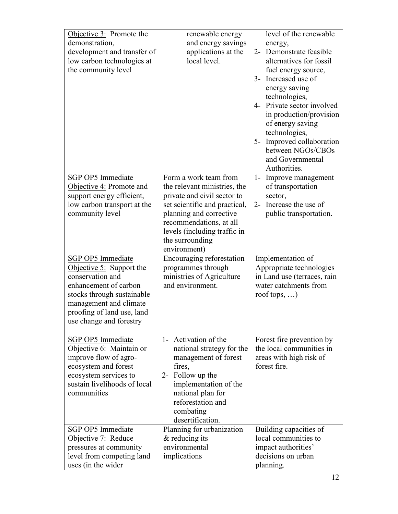| Objective 3: Promote the<br>demonstration,<br>development and transfer of<br>low carbon technologies at<br>the community level                                                                                       | renewable energy<br>and energy savings<br>applications at the<br>local level.                                                                                                                                                                  | level of the renewable<br>energy,<br>2- Demonstrate feasible<br>alternatives for fossil<br>fuel energy source,<br>Increased use of<br>$3-$<br>energy saving<br>technologies,<br>4- Private sector involved<br>in production/provision<br>of energy saving<br>technologies,<br>5- Improved collaboration<br>between NGOs/CBOs<br>and Governmental<br>Authorities. |
|----------------------------------------------------------------------------------------------------------------------------------------------------------------------------------------------------------------------|------------------------------------------------------------------------------------------------------------------------------------------------------------------------------------------------------------------------------------------------|------------------------------------------------------------------------------------------------------------------------------------------------------------------------------------------------------------------------------------------------------------------------------------------------------------------------------------------------------------------|
| SGP OP5 Immediate<br>Objective 4: Promote and<br>support energy efficient,<br>low carbon transport at the<br>community level                                                                                         | Form a work team from<br>the relevant ministries, the<br>private and civil sector to<br>set scientific and practical,<br>planning and corrective<br>recommendations, at all<br>levels (including traffic in<br>the surrounding<br>environment) | 1- Improve management<br>of transportation<br>sector,<br>Increase the use of<br>$2-$<br>public transportation.                                                                                                                                                                                                                                                   |
| <b>SGP OP5 Immediate</b><br>Objective $5:$ Support the<br>conservation and<br>enhancement of carbon<br>stocks through sustainable<br>management and climate<br>proofing of land use, land<br>use change and forestry | Encouraging reforestation<br>programmes through<br>ministries of Agriculture<br>and environment.                                                                                                                                               | Implementation of<br>Appropriate technologies<br>in Land use (terraces, rain<br>water catchments from<br>roof tops, $\ldots$ )                                                                                                                                                                                                                                   |
| SGP OP5 Immediate<br>Objective 6: Maintain or<br>improve flow of agro-<br>ecosystem and forest<br>ecosystem services to<br>sustain livelihoods of local<br>communities                                               | 1- Activation of the<br>national strategy for the<br>management of forest<br>fires,<br>2- Follow up the<br>implementation of the<br>national plan for<br>reforestation and<br>combating<br>desertification.                                    | Forest fire prevention by<br>the local communities in<br>areas with high risk of<br>forest fire.                                                                                                                                                                                                                                                                 |
| SGP OP5 Immediate<br>Objective 7: Reduce<br>pressures at community<br>level from competing land<br>uses (in the wider                                                                                                | Planning for urbanization<br>$&$ reducing its<br>environmental<br>implications                                                                                                                                                                 | Building capacities of<br>local communities to<br>impact authorities'<br>decisions on urban<br>planning.                                                                                                                                                                                                                                                         |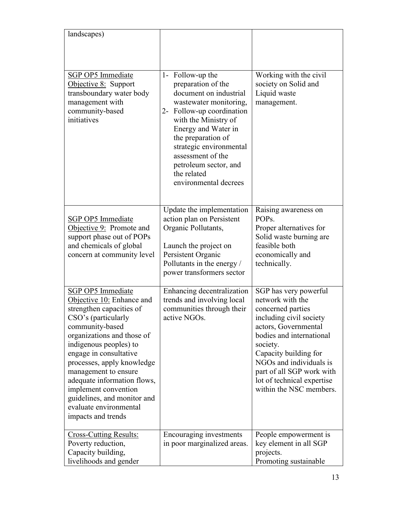| landscapes)                                                                                                                                                                                                                                                                                                                                                                                        |                                                                                                                                                                                                                                                                                                               |                                                                                                                                                                                                                                                                                                     |
|----------------------------------------------------------------------------------------------------------------------------------------------------------------------------------------------------------------------------------------------------------------------------------------------------------------------------------------------------------------------------------------------------|---------------------------------------------------------------------------------------------------------------------------------------------------------------------------------------------------------------------------------------------------------------------------------------------------------------|-----------------------------------------------------------------------------------------------------------------------------------------------------------------------------------------------------------------------------------------------------------------------------------------------------|
| SGP OP5 Immediate<br>Objective 8: Support<br>transboundary water body<br>management with<br>community-based<br>initiatives                                                                                                                                                                                                                                                                         | 1- Follow-up the<br>preparation of the<br>document on industrial<br>wastewater monitoring,<br>2- Follow-up coordination<br>with the Ministry of<br>Energy and Water in<br>the preparation of<br>strategic environmental<br>assessment of the<br>petroleum sector, and<br>the related<br>environmental decrees | Working with the civil<br>society on Solid and<br>Liquid waste<br>management.                                                                                                                                                                                                                       |
| SGP OP5 Immediate<br>Objective 9: Promote and<br>support phase out of POPs<br>and chemicals of global<br>concern at community level                                                                                                                                                                                                                                                                | Update the implementation<br>action plan on Persistent<br>Organic Pollutants,<br>Launch the project on<br>Persistent Organic<br>Pollutants in the energy /<br>power transformers sector                                                                                                                       | Raising awareness on<br>POP <sub>s</sub> .<br>Proper alternatives for<br>Solid waste burning are<br>feasible both<br>economically and<br>technically.                                                                                                                                               |
| SGP OP5 Immediate<br>Objective 10: Enhance and<br>strengthen capacities of<br>CSO's (particularly<br>community-based<br>organizations and those of<br>indigenous peoples) to<br>engage in consultative<br>processes, apply knowledge<br>management to ensure<br>adequate information flows,<br>implement convention<br>guidelines, and monitor and<br>evaluate environmental<br>impacts and trends | Enhancing decentralization<br>trends and involving local<br>communities through their<br>active NGOs.                                                                                                                                                                                                         | SGP has very powerful<br>network with the<br>concerned parties<br>including civil society<br>actors, Governmental<br>bodies and international<br>society.<br>Capacity building for<br>NGOs and individuals is<br>part of all SGP work with<br>lot of technical expertise<br>within the NSC members. |
| <b>Cross-Cutting Results:</b><br>Poverty reduction,<br>Capacity building,<br>livelihoods and gender                                                                                                                                                                                                                                                                                                | Encouraging investments<br>in poor marginalized areas.                                                                                                                                                                                                                                                        | People empowerment is<br>key element in all SGP<br>projects.<br>Promoting sustainable                                                                                                                                                                                                               |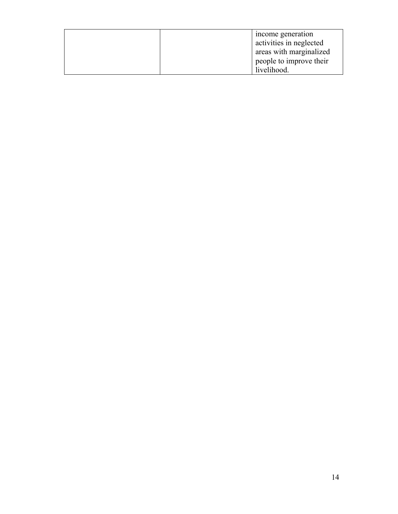| income generation       |
|-------------------------|
| activities in neglected |
| areas with marginalized |
| people to improve their |
| livelihood.             |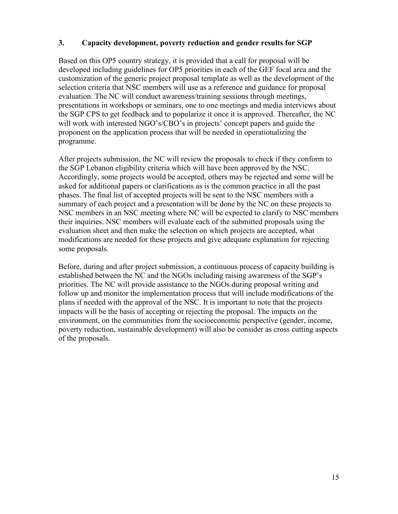### **3. Capacity development, poverty reduction and gender results for SGP**

Based on this OP5 country strategy, it is provided that a call for proposal will be developed including guidelines for OP5 priorities in each of the GEF focal area and the customization of the generic project proposal template as well as the development of the selection criteria that NSC members will use as a reference and guidance for proposal evaluation. The NC will conduct awareness/training sessions through meetings, presentations in workshops or seminars, one to one meetings and media interviews about the SGP CPS to get feedback and to popularize it once it is approved. Thereafter, the NC will work with interested NGO's/CBO's in projects' concept papers and guide the proponent on the application process that will be needed in operationalizing the programme.

After projects submission, the NC will review the proposals to check if they conform to the SGP Lebanon eligibility criteria which will have been approved by the NSC. Accordingly, some projects would be accepted, others may be rejected and some will be asked for additional papers or clarifications as is the common practice in all the past phases. The final list of accepted projects will be sent to the NSC members with a summary of each project and a presentation will be done by the NC on these projects to NSC members in an NSC meeting where NC will be expected to clarify to NSC members their inquiries. NSC members will evaluate each of the submitted proposals using the evaluation sheet and then make the selection on which projects are accepted, what modifications are needed for these projects and give adequate explanation for rejecting some proposals.

Before, during and after project submission, a continuous process of capacity building is established between the NC and the NGOs including raising awareness of the SGP's priorities. The NC will provide assistance to the NGOs during proposal writing and follow up and monitor the implementation process that will include modifications of the plans if needed with the approval of the NSC. It is important to note that the projects impacts will be the basis of accepting or rejecting the proposal. The impacts on the environment, on the communities from the socioeconomic perspective (gender, income, poverty reduction, sustainable development) will also be consider as cross cutting aspects of the proposals.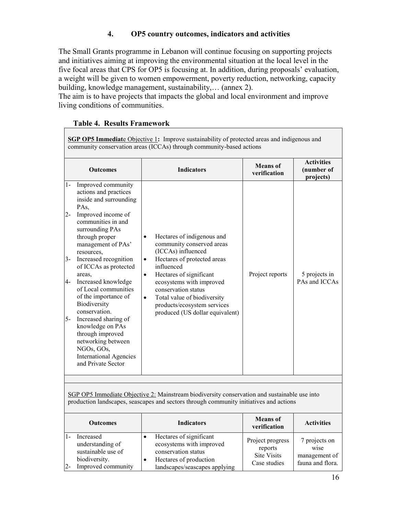## **4. OP5 country outcomes, indicators and activities**

The Small Grants programme in Lebanon will continue focusing on supporting projects and initiatives aiming at improving the environmental situation at the local level in the five focal areas that CPS for OP5 is focusing at. In addition, during proposals' evaluation, a weight will be given to women empowerment, poverty reduction, networking, capacity building, knowledge management, sustainability,… (annex 2).

The aim is to have projects that impacts the global and local environment and improve living conditions of communities.

## **Table 4. Results Framework**

**SGP OP5 Immediat**e Objective 1**:** Improve sustainability of protected areas and indigenous and community conservation areas (ICCAs) through community-based actions **Outcomes Indicators Means of Means** of **verification Activities (number of projects)** 1- Improved community actions and practices inside and surrounding PAs, 2- Improved income of communities in and surrounding PAs through proper management of PAs' resources, 3- Increased recognition of ICCAs as protected areas, 4- Increased knowledge of Local communities of the importance of Biodiversity conservation. 5- Increased sharing of knowledge on PAs through improved networking between NGOs, GOs, International Agencies and Private Sector Hectares of indigenous and community conserved areas (ICCAs) influenced Hectares of protected areas influenced Hectares of significant ecosystems with improved conservation status • Total value of biodiversity products/ecosystem services produced (US dollar equivalent) Project reports 5 projects in PAs and ICCAs

SGP OP5 Immediate Objective 2: Mainstream biodiversity conservation and sustainable use into production landscapes, seascapes and sectors through community initiatives and actions

|             | <b>Outcomes</b>                                                                            | <b>Indicators</b>                                                                                                                     | <b>Means</b> of<br>verification                                   | <b>Activities</b>                                          |
|-------------|--------------------------------------------------------------------------------------------|---------------------------------------------------------------------------------------------------------------------------------------|-------------------------------------------------------------------|------------------------------------------------------------|
| 1-<br>$2 -$ | Increased<br>understanding of<br>sustainable use of<br>biodiversity.<br>Improved community | Hectares of significant<br>ecosystems with improved<br>conservation status<br>Hectares of production<br>landscapes/seascapes applying | Project progress<br>reports<br><b>Site Visits</b><br>Case studies | 7 projects on<br>wise<br>management of<br>fauna and flora. |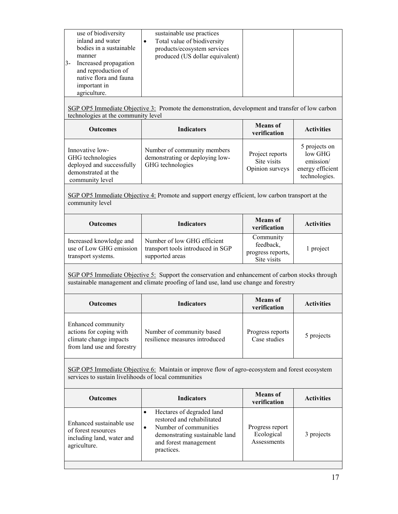| inland and water<br>Total value of biodiversity<br>bodies in a sustainable<br>products/ecosystem services<br>produced (US dollar equivalent)<br>manner<br>Increased propagation<br>and reproduction of<br>native flora and fauna<br>important in<br>agriculture. |
|------------------------------------------------------------------------------------------------------------------------------------------------------------------------------------------------------------------------------------------------------------------|
|------------------------------------------------------------------------------------------------------------------------------------------------------------------------------------------------------------------------------------------------------------------|

SGP OP5 Immediate Objective 3: Promote the demonstration, development and transfer of low carbon technologies at the community level

| <b>Outcomes</b>                                                                                            | <b>Indicators</b>                                                                  | <b>Means</b> of<br>verification                   | <b>Activities</b>                                                          |
|------------------------------------------------------------------------------------------------------------|------------------------------------------------------------------------------------|---------------------------------------------------|----------------------------------------------------------------------------|
| Innovative low-<br>GHG technologies<br>deployed and successfully<br>demonstrated at the<br>community level | Number of community members<br>demonstrating or deploying low-<br>GHG technologies | Project reports<br>Site visits<br>Opinion surveys | 5 projects on<br>low GHG<br>emission/<br>energy efficient<br>technologies. |

SGP OP5 Immediate Objective 4: Promote and support energy efficient, low carbon transport at the community level

| Outcomes                                                                 | <b>Indicators</b>                                                                   | <b>Means</b> of<br>verification                            | <b>Activities</b> |
|--------------------------------------------------------------------------|-------------------------------------------------------------------------------------|------------------------------------------------------------|-------------------|
| Increased knowledge and<br>use of Low GHG emission<br>transport systems. | Number of low GHG efficient<br>transport tools introduced in SGP<br>supported areas | Community<br>feedback,<br>progress reports,<br>Site visits | 1 project         |

SGP OP5 Immediate Objective 5: Support the conservation and enhancement of carbon stocks through sustainable management and climate proofing of land use, land use change and forestry

| <b>Outcomes</b>                                                                                       | <b>Indicators</b>                                           | <b>Means</b> of<br>verification  | <b>Activities</b> |
|-------------------------------------------------------------------------------------------------------|-------------------------------------------------------------|----------------------------------|-------------------|
| Enhanced community<br>actions for coping with<br>climate change impacts<br>from land use and forestry | Number of community based<br>resilience measures introduced | Progress reports<br>Case studies | 5 projects        |

SGP OP5 Immediate Objective 6: Maintain or improve flow of agro-ecosystem and forest ecosystem services to sustain livelihoods of local communities

| <b>Outcomes</b>                                                                              | Indicators                                                                                                                                                     | <b>Means</b> of<br>verification              | <b>Activities</b> |
|----------------------------------------------------------------------------------------------|----------------------------------------------------------------------------------------------------------------------------------------------------------------|----------------------------------------------|-------------------|
| Enhanced sustainable use<br>of forest resources<br>including land, water and<br>agriculture. | Hectares of degraded land<br>restored and rehabilitated<br>Number of communities<br>٠<br>demonstrating sustainable land<br>and forest management<br>practices. | Progress report<br>Ecological<br>Assessments | 3 projects        |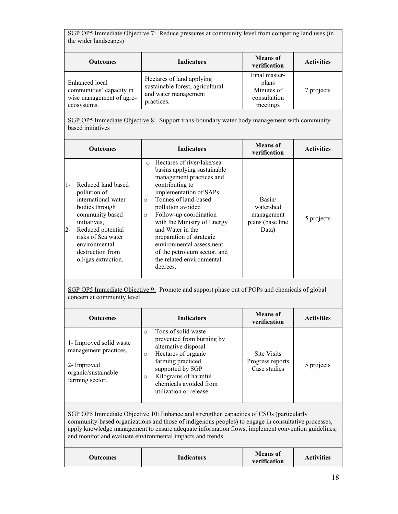SGP OP5 Immediate Objective 7: Reduce pressures at community level from competing land uses (in the wider landscapes)

| <b>Outcomes</b>                                                                       | <b>Indicators</b>                                                                                   | <b>Means</b> of<br>verification                                  | <b>Activities</b> |
|---------------------------------------------------------------------------------------|-----------------------------------------------------------------------------------------------------|------------------------------------------------------------------|-------------------|
| Enhanced local<br>communities' capacity in<br>wise management of agro-<br>ecosystems. | Hectares of land applying<br>sustainable forest, agricultural<br>and water management<br>practices. | Final master-<br>plans<br>Minutes of<br>consultation<br>meetings | 7 projects        |

SGP OP5 Immediate Objective 8: Support trans-boundary water body management with communitybased initiatives

| <b>Outcomes</b>                                                                                                                                                                                                                | <b>Indicators</b>                                                                                                                                                                                                                                                                                                                                                                                                                  | <b>Means</b> of<br>verification                                | <b>Activities</b> |
|--------------------------------------------------------------------------------------------------------------------------------------------------------------------------------------------------------------------------------|------------------------------------------------------------------------------------------------------------------------------------------------------------------------------------------------------------------------------------------------------------------------------------------------------------------------------------------------------------------------------------------------------------------------------------|----------------------------------------------------------------|-------------------|
| Reduced land based<br>pollution of<br>international water<br>bodies through<br>community based<br>initiatives,<br>$2 -$<br>Reduced potential<br>risks of Sea water<br>environmental<br>destruction from<br>oil/gas extraction. | Hectares of river/lake/sea<br>$\bigcirc$<br>basins applying sustainable<br>management practices and<br>contributing to<br>implementation of SAPs<br>Tonnes of land-based<br>$\Omega$<br>pollution avoided<br>Follow-up coordination<br>$\circ$<br>with the Ministry of Energy<br>and Water in the<br>preparation of strategic<br>environmental assessment<br>of the petroleum sector, and<br>the related environmental<br>decrees. | Basin/<br>watershed<br>management<br>plans (base line<br>Data) | 5 projects        |

SGP OP5 Immediate Objective 9: Promote and support phase out of POPs and chemicals of global concern at community level

| <b>Outcomes</b>                                                                                           | <b>Indicators</b>                                                                                                                                                                                                                                      | <b>Means</b> of<br>verification                        | <b>Activities</b> |
|-----------------------------------------------------------------------------------------------------------|--------------------------------------------------------------------------------------------------------------------------------------------------------------------------------------------------------------------------------------------------------|--------------------------------------------------------|-------------------|
| 1- Improved solid waste<br>management practices,<br>2- Improved<br>organic/sustainable<br>farming sector. | Tons of solid waste<br>$\Omega$<br>prevented from burning by<br>alternative disposal<br>Hectares of organic<br>$\circ$<br>farming practiced<br>supported by SGP<br>Kilograms of harmful<br>$\circ$<br>chemicals avoided from<br>utilization or release | <b>Site Visits</b><br>Progress reports<br>Case studies | 5 projects        |

SGP OP5 Immediate Objective 10: Enhance and strengthen capacities of CSOs (particularly community-based organizations and those of indigenous peoples) to engage in consultative processes, apply knowledge management to ensure adequate information flows, implement convention guidelines, and monitor and evaluate environmental impacts and trends.

| <b>Indicators</b><br>Outcomes | <b>Means</b> of<br>verification | <b>Activities</b> |
|-------------------------------|---------------------------------|-------------------|
|-------------------------------|---------------------------------|-------------------|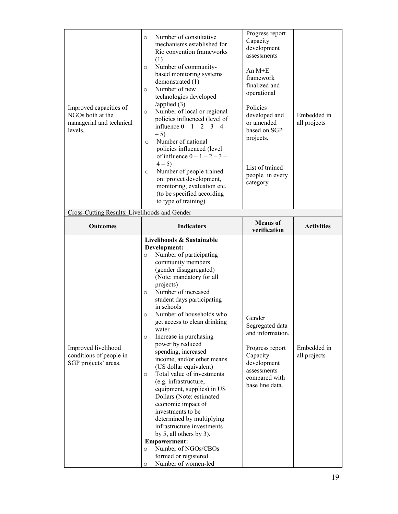| Improved capacities of<br>NGOs both at the<br>managerial and technical<br>levels. | Number of consultative<br>$\circ$<br>mechanisms established for<br>Rio convention frameworks<br>(1)<br>Number of community-<br>$\circ$<br>based monitoring systems<br>demonstrated (1)<br>Number of new<br>$\circ$<br>technologies developed<br>/applied $(3)$<br>Number of local or regional<br>$\circ$<br>policies influenced (level of<br>influence $0 - 1 - 2 - 3 - 4$<br>$-5)$<br>Number of national<br>$\circ$<br>policies influenced (level<br>of influence $0 - 1 - 2 - 3 -$<br>$4 - 5$<br>Number of people trained<br>$\circ$<br>on: project development,<br>monitoring, evaluation etc.<br>(to be specified according<br>to type of training)                                                                                                                                                                                                       | Progress report<br>Capacity<br>development<br>assessments<br>An $M+E$<br>framework<br>finalized and<br>operational<br>Policies<br>developed and<br>or amended<br>based on SGP<br>projects.<br>List of trained<br>people in every<br>category | Embedded in<br>all projects |
|-----------------------------------------------------------------------------------|---------------------------------------------------------------------------------------------------------------------------------------------------------------------------------------------------------------------------------------------------------------------------------------------------------------------------------------------------------------------------------------------------------------------------------------------------------------------------------------------------------------------------------------------------------------------------------------------------------------------------------------------------------------------------------------------------------------------------------------------------------------------------------------------------------------------------------------------------------------|----------------------------------------------------------------------------------------------------------------------------------------------------------------------------------------------------------------------------------------------|-----------------------------|
| Cross-Cutting Results: Livelihoods and Gender                                     |                                                                                                                                                                                                                                                                                                                                                                                                                                                                                                                                                                                                                                                                                                                                                                                                                                                               | <b>Means</b> of                                                                                                                                                                                                                              |                             |
| <b>Outcomes</b>                                                                   | <b>Indicators</b>                                                                                                                                                                                                                                                                                                                                                                                                                                                                                                                                                                                                                                                                                                                                                                                                                                             | verification                                                                                                                                                                                                                                 | <b>Activities</b>           |
| Improved livelihood<br>conditions of people in<br>SGP projects' areas.            | Livelihoods & Sustainable<br>Development:<br>Number of participating<br>$\circ$<br>community members<br>(gender disaggregated)<br>(Note: mandatory for all<br>projects)<br>Number of increased<br>$\circ$<br>student days participating<br>in schools<br>Number of households who<br>$\circ$<br>get access to clean drinking<br>water<br>Increase in purchasing<br>$\circ$<br>power by reduced<br>spending, increased<br>income, and/or other means<br>(US dollar equivalent)<br>Total value of investments<br>$\circ$<br>(e.g. infrastructure,<br>equipment, supplies) in US<br>Dollars (Note: estimated<br>economic impact of<br>investments to be<br>determined by multiplying<br>infrastructure investments<br>by 5, all others by 3).<br><b>Empowerment:</b><br>Number of NGOs/CBOs<br>$\circ$<br>formed or registered<br>Number of women-led<br>$\circ$ | Gender<br>Segregated data<br>and information.<br>Progress report<br>Capacity<br>development<br>assessments<br>compared with<br>base line data.                                                                                               | Embedded in<br>all projects |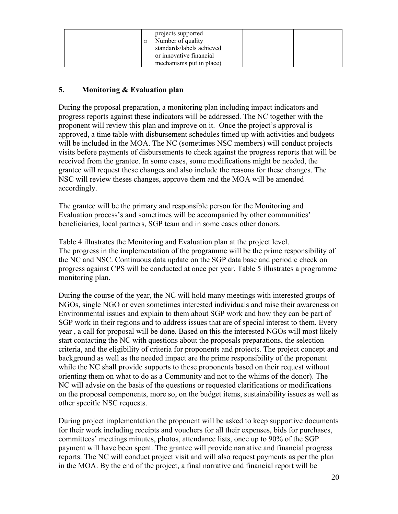|  | projects supported<br>Number of quality<br>standards/labels achieved<br>or innovative financial |  |
|--|-------------------------------------------------------------------------------------------------|--|
|  | mechanisms put in place)                                                                        |  |

## **5. Monitoring & Evaluation plan**

During the proposal preparation, a monitoring plan including impact indicators and progress reports against these indicators will be addressed. The NC together with the proponent will review this plan and improve on it. Once the project's approval is approved, a time table with disbursement schedules timed up with activities and budgets will be included in the MOA. The NC (sometimes NSC members) will conduct projects visits before payments of disbursements to check against the progress reports that will be received from the grantee. In some cases, some modifications might be needed, the grantee will request these changes and also include the reasons for these changes. The NSC will review theses changes, approve them and the MOA will be amended accordingly.

The grantee will be the primary and responsible person for the Monitoring and Evaluation process's and sometimes will be accompanied by other communities' beneficiaries, local partners, SGP team and in some cases other donors.

Table 4 illustrates the Monitoring and Evaluation plan at the project level. The progress in the implementation of the programme will be the prime responsibility of the NC and NSC. Continuous data update on the SGP data base and periodic check on progress against CPS will be conducted at once per year. Table 5 illustrates a programme monitoring plan.

During the course of the year, the NC will hold many meetings with interested groups of NGOs, single NGO or even sometimes interested individuals and raise their awareness on Environmental issues and explain to them about SGP work and how they can be part of SGP work in their regions and to address issues that are of special interest to them. Every year , a call for proposal will be done. Based on this the interested NGOs will most likely start contacting the NC with questions about the proposals preparations, the selection criteria, and the eligibility of criteria for proponents and projects. The project concept and background as well as the needed impact are the prime responsibility of the proponent while the NC shall provide supports to these proponents based on their request without orienting them on what to do as a Community and not to the whims of the donor). The NC will advsie on the basis of the questions or requested clarifications or modifications on the proposal components, more so, on the budget items, sustainability issues as well as other specific NSC requests.

During project implementation the proponent will be asked to keep supportive documents for their work including receipts and vouchers for all their expenses, bids for purchases, committees' meetings minutes, photos, attendance lists, once up to 90% of the SGP payment will have been spent. The grantee will provide narrative and financial progress reports. The NC will conduct project visit and will also request payments as per the plan in the MOA. By the end of the project, a final narrative and financial report will be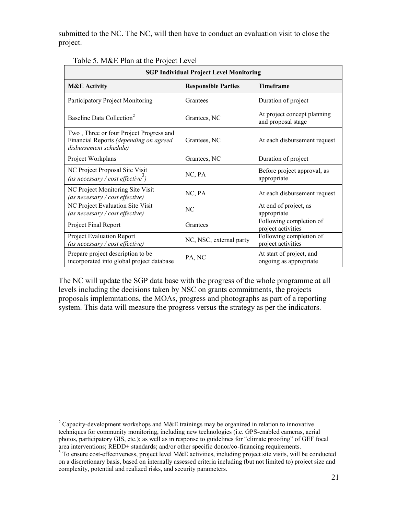submitted to the NC. The NC, will then have to conduct an evaluation visit to close the project.

| <b>SGP Individual Project Level Monitoring</b>                                                              |                            |                                                    |  |  |  |
|-------------------------------------------------------------------------------------------------------------|----------------------------|----------------------------------------------------|--|--|--|
| <b>M&amp;E</b> Activity                                                                                     | <b>Responsible Parties</b> | <b>Timeframe</b>                                   |  |  |  |
| Participatory Project Monitoring                                                                            | Grantees                   | Duration of project                                |  |  |  |
| Baseline Data Collection <sup>2</sup>                                                                       | Grantees, NC               | At project concept planning<br>and proposal stage  |  |  |  |
| Two, Three or four Project Progress and<br>Financial Reports (depending on agreed<br>disbursement schedule) | Grantees, NC               | At each disbursement request                       |  |  |  |
| Project Workplans                                                                                           | Grantees, NC               | Duration of project                                |  |  |  |
| NC Project Proposal Site Visit<br>(as necessary / cost effective <sup>3</sup> )                             | NC, PA                     | Before project approval, as<br>appropriate         |  |  |  |
| NC Project Monitoring Site Visit<br>(as necessary / cost effective)                                         | NC, PA                     | At each disbursement request                       |  |  |  |
| NC Project Evaluation Site Visit<br>(as necessary / cost effective)                                         | NC.                        | At end of project, as<br>appropriate               |  |  |  |
| Project Final Report                                                                                        | Grantees                   | Following completion of<br>project activities      |  |  |  |
| <b>Project Evaluation Report</b><br>(as necessary / cost effective)                                         | NC, NSC, external party    | Following completion of<br>project activities      |  |  |  |
| Prepare project description to be<br>incorporated into global project database                              | PA, NC                     | At start of project, and<br>ongoing as appropriate |  |  |  |

Table 5. M&E Plan at the Project Level

The NC will update the SGP data base with the progress of the whole programme at all levels including the decisions taken by NSC on grants commitments, the projects proposals implemntations, the MOAs, progress and photographs as part of a reporting system. This data will measure the progress versus the strategy as per the indicators.

 $\overline{a}$ 

<sup>&</sup>lt;sup>2</sup> Capacity-development workshops and M&E trainings may be organized in relation to innovative techniques for community monitoring, including new technologies (i.e. GPS-enabled cameras, aerial photos, participatory GIS, etc.); as well as in response to guidelines for "climate proofing" of GEF focal area interventions; REDD+ standards; and/or other specific donor/co-financing requirements.

<sup>&</sup>lt;sup>3</sup> To ensure cost-effectiveness, project level M&E activities, including project site visits, will be conducted on a discretionary basis, based on internally assessed criteria including (but not limited to) project size and complexity, potential and realized risks, and security parameters.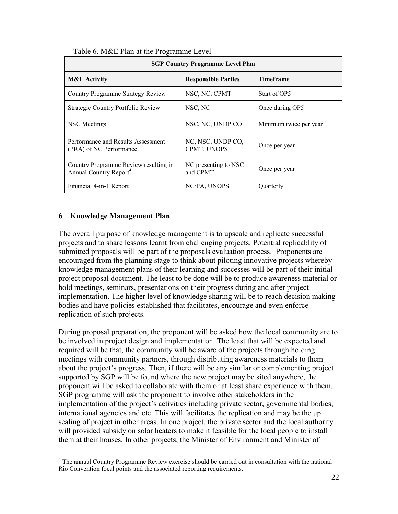| <b>SGP Country Programme Level Plan</b>                                     |                                  |                        |  |  |  |
|-----------------------------------------------------------------------------|----------------------------------|------------------------|--|--|--|
| <b>M&amp;E</b> Activity                                                     | <b>Responsible Parties</b>       | <b>Timeframe</b>       |  |  |  |
| Country Programme Strategy Review                                           | NSC, NC, CPMT                    | Start of OP5           |  |  |  |
| Strategic Country Portfolio Review                                          | NSC, NC                          | Once during OP5        |  |  |  |
| NSC Meetings                                                                | NSC, NC, UNDP CO                 | Minimum twice per year |  |  |  |
| Performance and Results Assessment<br>(PRA) of NC Performance               | NC, NSC, UNDP CO,<br>CPMT, UNOPS | Once per year          |  |  |  |
| Country Programme Review resulting in<br>Annual Country Report <sup>4</sup> | NC presenting to NSC<br>and CPMT | Once per year          |  |  |  |
| Financial 4-in-1 Report                                                     | NC/PA, UNOPS                     | Quarterly              |  |  |  |

#### Table 6. M&E Plan at the Programme Level

### **6 Knowledge Management Plan**

 $\overline{a}$ 

The overall purpose of knowledge management is to upscale and replicate successful projects and to share lessons learnt from challenging projects. Potential replicablity of submitted proposals will be part of the proposals evaluation process. Proponents are encouraged from the planning stage to think about piloting innovative projects whereby knowledge management plans of their learning and successes will be part of their initial project proposal document. The least to be done will be to produce awareness material or hold meetings, seminars, presentations on their progress during and after project implementation. The higher level of knowledge sharing will be to reach decision making bodies and have policies established that facilitates, encourage and even enforce replication of such projects.

During proposal preparation, the proponent will be asked how the local community are to be involved in project design and implementation. The least that will be expected and required will be that, the community will be aware of the projects through holding meetings with community partners, through distributing awareness materials to them about the project's progress. Then, if there will be any similar or complementing project supported by SGP will be found where the new project may be sited anywhere, the proponent will be asked to collaborate with them or at least share experience with them. SGP programme will ask the proponent to involve other stakeholders in the implementation of the project's activities including private sector, governmental bodies, international agencies and etc. This will facilitates the replication and may be the up scaling of project in other areas. In one project, the private sector and the local authority will provided subsidy on solar heaters to make it feasible for the local people to install them at their houses. In other projects, the Minister of Environment and Minister of

<sup>&</sup>lt;sup>4</sup> The annual Country Programme Review exercise should be carried out in consultation with the national Rio Convention focal points and the associated reporting requirements.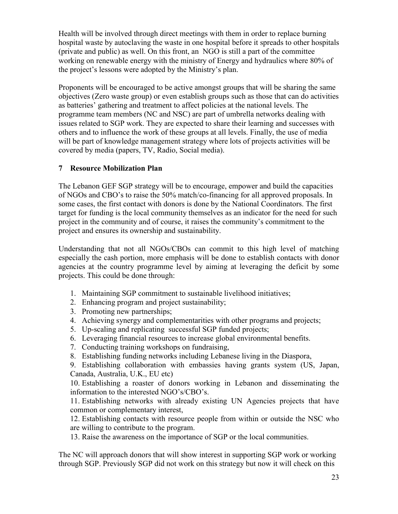Health will be involved through direct meetings with them in order to replace burning hospital waste by autoclaving the waste in one hospital before it spreads to other hospitals (private and public) as well. On this front, an NGO is still a part of the committee working on renewable energy with the ministry of Energy and hydraulics where 80% of the project's lessons were adopted by the Ministry's plan.

Proponents will be encouraged to be active amongst groups that will be sharing the same objectives (Zero waste group) or even establish groups such as those that can do activities as batteries' gathering and treatment to affect policies at the national levels. The programme team members (NC and NSC) are part of umbrella networks dealing with issues related to SGP work. They are expected to share their learning and successes with others and to influence the work of these groups at all levels. Finally, the use of media will be part of knowledge management strategy where lots of projects activities will be covered by media (papers, TV, Radio, Social media).

## **7 Resource Mobilization Plan**

The Lebanon GEF SGP strategy will be to encourage, empower and build the capacities of NGOs and CBO's to raise the 50% match/co-financing for all approved proposals. In some cases, the first contact with donors is done by the National Coordinators. The first target for funding is the local community themselves as an indicator for the need for such project in the community and of course, it raises the community's commitment to the project and ensures its ownership and sustainability.

Understanding that not all NGOs/CBOs can commit to this high level of matching especially the cash portion, more emphasis will be done to establish contacts with donor agencies at the country programme level by aiming at leveraging the deficit by some projects. This could be done through:

- 1. Maintaining SGP commitment to sustainable livelihood initiatives;
- 2. Enhancing program and project sustainability;
- 3. Promoting new partnerships;
- 4. Achieving synergy and complementarities with other programs and projects;
- 5. Up-scaling and replicating successful SGP funded projects;
- 6. Leveraging financial resources to increase global environmental benefits.
- 7. Conducting training workshops on fundraising,
- 8. Establishing funding networks including Lebanese living in the Diaspora,

9. Establishing collaboration with embassies having grants system (US, Japan, Canada, Australia, U.K., EU etc)

10. Establishing a roaster of donors working in Lebanon and disseminating the information to the interested NGO's/CBO's.

11. Establishing networks with already existing UN Agencies projects that have common or complementary interest,

12. Establishing contacts with resource people from within or outside the NSC who are willing to contribute to the program.

13. Raise the awareness on the importance of SGP or the local communities.

The NC will approach donors that will show interest in supporting SGP work or working through SGP. Previously SGP did not work on this strategy but now it will check on this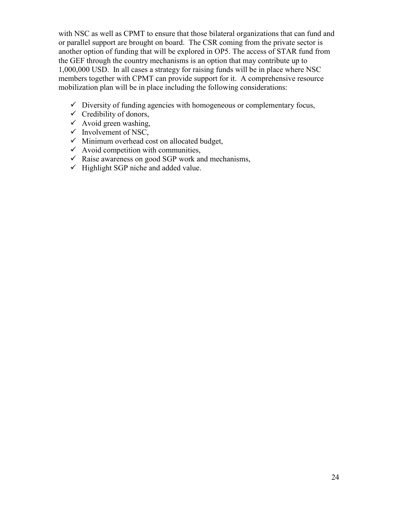with NSC as well as CPMT to ensure that those bilateral organizations that can fund and or parallel support are brought on board. The CSR coming from the private sector is another option of funding that will be explored in OP5. The access of STAR fund from the GEF through the country mechanisms is an option that may contribute up to 1,000,000 USD. In all cases a strategy for raising funds will be in place where NSC members together with CPMT can provide support for it. A comprehensive resource mobilization plan will be in place including the following considerations:

- $\checkmark$  Diversity of funding agencies with homogeneous or complementary focus,
- $\checkmark$  Credibility of donors,
- $\checkmark$  Avoid green washing,
- $\checkmark$  Involvement of NSC,
- $\checkmark$  Minimum overhead cost on allocated budget,
- $\checkmark$  Avoid competition with communities,
- $\checkmark$  Raise awareness on good SGP work and mechanisms,
- $\checkmark$  Highlight SGP niche and added value.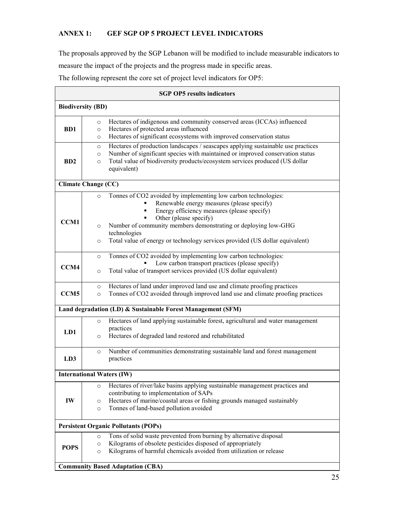## **ANNEX 1: GEF SGP OP 5 PROJECT LEVEL INDICATORS**

The proposals approved by the SGP Lebanon will be modified to include measurable indicators to measure the impact of the projects and the progress made in specific areas. The following represent the core set of project level indicators for OP5:

| <b>SGP OP5 results indicators</b><br><b>Biodiversity (BD)</b> |                                                                                                                                                                                                                                                                                                  |  |  |                  |
|---------------------------------------------------------------|--------------------------------------------------------------------------------------------------------------------------------------------------------------------------------------------------------------------------------------------------------------------------------------------------|--|--|------------------|
|                                                               |                                                                                                                                                                                                                                                                                                  |  |  | B <sub>D</sub> 1 |
| B <sub>D</sub> 2                                              | Hectares of production landscapes / seascapes applying sustainable use practices<br>$\circ$<br>Number of significant species with maintained or improved conservation status<br>$\circ$<br>Total value of biodiversity products/ecosystem services produced (US dollar<br>$\circ$<br>equivalent) |  |  |                  |
|                                                               | <b>Climate Change (CC)</b>                                                                                                                                                                                                                                                                       |  |  |                  |
| <b>CCM1</b>                                                   | Tonnes of CO2 avoided by implementing low carbon technologies:<br>$\circ$<br>Renewable energy measures (please specify)<br>Energy efficiency measures (please specify)<br>٠                                                                                                                      |  |  |                  |
|                                                               | Other (please specify)<br>٠<br>Number of community members demonstrating or deploying low-GHG<br>$\circ$<br>technologies<br>Total value of energy or technology services provided (US dollar equivalent)<br>$\circ$                                                                              |  |  |                  |
|                                                               |                                                                                                                                                                                                                                                                                                  |  |  |                  |
| CCM4                                                          | Tonnes of CO2 avoided by implementing low carbon technologies:<br>$\circ$<br>Low carbon transport practices (please specify)<br>Total value of transport services provided (US dollar equivalent)<br>$\circ$                                                                                     |  |  |                  |
| CCM <sub>5</sub>                                              | Hectares of land under improved land use and climate proofing practices<br>$\circ$<br>Tonnes of CO2 avoided through improved land use and climate proofing practices<br>$\circ$                                                                                                                  |  |  |                  |
|                                                               | Land degradation (LD) & Sustainable Forest Management (SFM)                                                                                                                                                                                                                                      |  |  |                  |
| LD1                                                           | Hectares of land applying sustainable forest, agricultural and water management<br>$\circ$<br>practices                                                                                                                                                                                          |  |  |                  |
|                                                               | Hectares of degraded land restored and rehabilitated<br>$\circ$                                                                                                                                                                                                                                  |  |  |                  |
| LD3                                                           | Number of communities demonstrating sustainable land and forest management<br>$\circ$<br>practices                                                                                                                                                                                               |  |  |                  |
|                                                               | <b>International Waters (IW)</b>                                                                                                                                                                                                                                                                 |  |  |                  |
| IW                                                            | Hectares of river/lake basins applying sustainable management practices and<br>$\circ$<br>contributing to implementation of SAPs                                                                                                                                                                 |  |  |                  |
|                                                               | Hectares of marine/coastal areas or fishing grounds managed sustainably<br>$\circ$<br>Tonnes of land-based pollution avoided<br>$\circ$                                                                                                                                                          |  |  |                  |
|                                                               | <b>Persistent Organic Pollutants (POPs)</b>                                                                                                                                                                                                                                                      |  |  |                  |
| <b>POPS</b>                                                   | Tons of solid waste prevented from burning by alternative disposal<br>$\circ$<br>Kilograms of obsolete pesticides disposed of appropriately<br>$\circ$<br>Kilograms of harmful chemicals avoided from utilization or release<br>$\circ$                                                          |  |  |                  |
|                                                               | <b>Community Based Adaptation (CBA)</b>                                                                                                                                                                                                                                                          |  |  |                  |